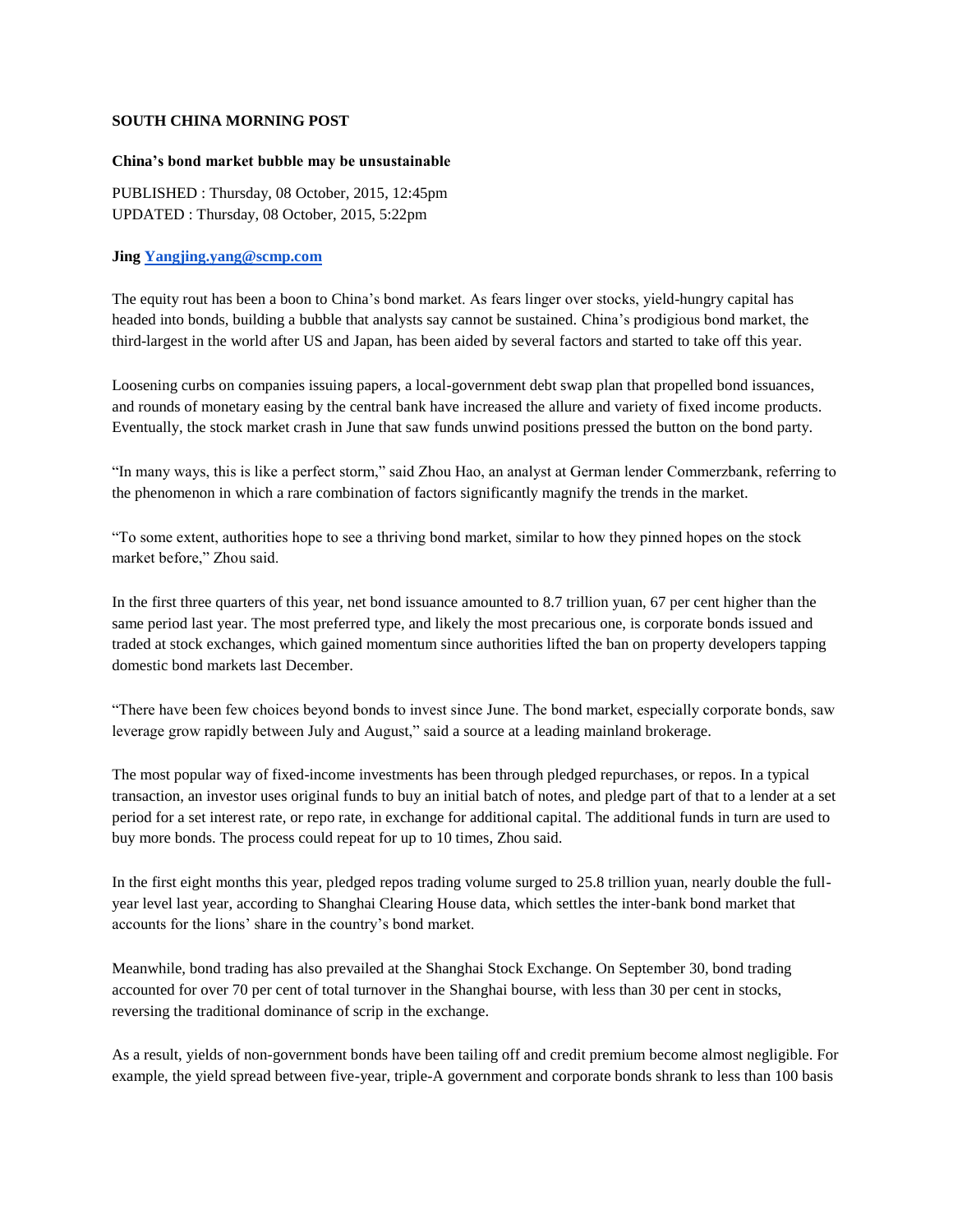## **SOUTH CHINA MORNING POST**

## **China's bond market bubble may be unsustainable**

PUBLISHED : Thursday, 08 October, 2015, 12:45pm UPDATED : Thursday, 08 October, 2015, 5:22pm

## **Jing [Yangjing.yang@scmp.com](mailto:Yangjing.yang@scmp.com)**

The equity rout has been a boon to China's bond market. As fears linger over stocks, yield-hungry capital has headed into bonds, building a bubble that analysts say cannot be sustained. China's prodigious bond market, the third-largest in the world after US and Japan, has been aided by several factors and started to take off this year.

Loosening curbs on companies issuing papers, a local-government debt swap plan that propelled bond issuances, and rounds of monetary easing by the central bank have increased the allure and variety of fixed income products. Eventually, the stock market crash in June that saw funds unwind positions pressed the button on the bond party.

"In many ways, this is like a perfect storm," said Zhou Hao, an analyst at German lender Commerzbank, referring to the phenomenon in which a rare combination of factors significantly magnify the trends in the market.

"To some extent, authorities hope to see a thriving bond market, similar to how they pinned hopes on the stock market before," Zhou said.

In the first three quarters of this year, net bond issuance amounted to 8.7 trillion yuan, 67 per cent higher than the same period last year. The most preferred type, and likely the most precarious one, is corporate bonds issued and traded at stock exchanges, which gained momentum since authorities lifted the ban on property developers tapping domestic bond markets last December.

"There have been few choices beyond bonds to invest since June. The bond market, especially corporate bonds, saw leverage grow rapidly between July and August," said a source at a leading mainland brokerage.

The most popular way of fixed-income investments has been through pledged repurchases, or repos. In a typical transaction, an investor uses original funds to buy an initial batch of notes, and pledge part of that to a lender at a set period for a set interest rate, or repo rate, in exchange for additional capital. The additional funds in turn are used to buy more bonds. The process could repeat for up to 10 times, Zhou said.

In the first eight months this year, pledged repos trading volume surged to 25.8 trillion yuan, nearly double the fullyear level last year, according to Shanghai Clearing House data, which settles the inter-bank bond market that accounts for the lions' share in the country's bond market.

Meanwhile, bond trading has also prevailed at the Shanghai Stock Exchange. On September 30, bond trading accounted for over 70 per cent of total turnover in the Shanghai bourse, with less than 30 per cent in stocks, reversing the traditional dominance of scrip in the exchange.

As a result, yields of non-government bonds have been tailing off and credit premium become almost negligible. For example, the yield spread between five-year, triple-A government and corporate bonds shrank to less than 100 basis